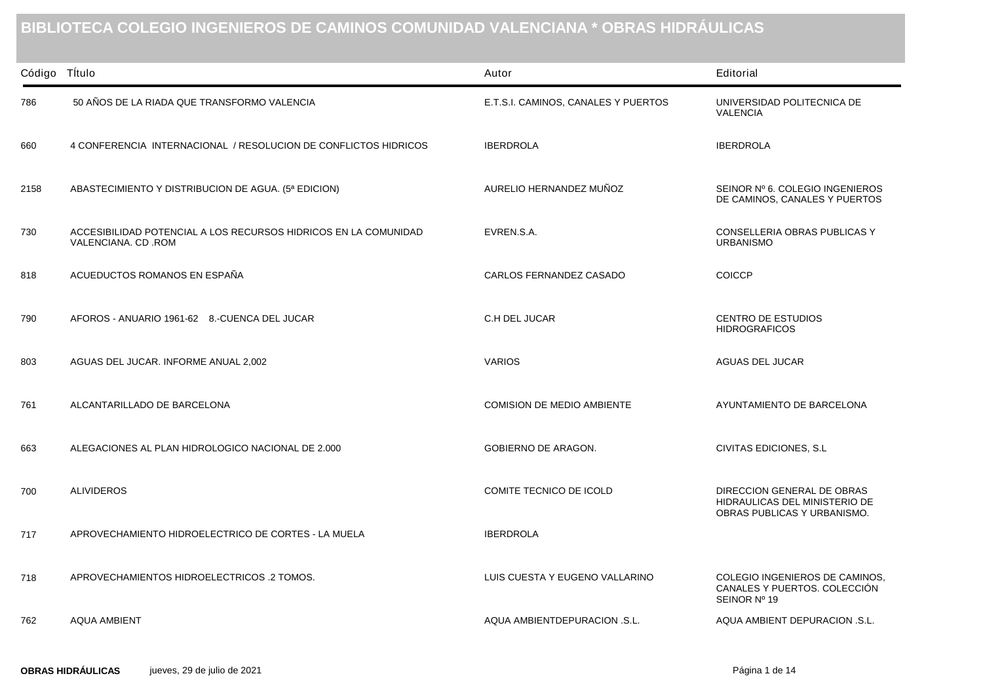## **BIBLIOTECA COLEGIO INGENIEROS DE CAMINOS COMUNIDAD VALENCIANA \* OBRAS HIDRÁULICAS**

| Código Título |                                                                                       | Autor                               | Editorial                                                                                  |
|---------------|---------------------------------------------------------------------------------------|-------------------------------------|--------------------------------------------------------------------------------------------|
| 786           | 50 AÑOS DE LA RIADA QUE TRANSFORMO VALENCIA                                           | E.T.S.I. CAMINOS, CANALES Y PUERTOS | UNIVERSIDAD POLITECNICA DE<br><b>VALENCIA</b>                                              |
| 660           | 4 CONFERENCIA INTERNACIONAL / RESOLUCION DE CONFLICTOS HIDRICOS                       | <b>IBERDROLA</b>                    | <b>IBERDROLA</b>                                                                           |
| 2158          | ABASTECIMIENTO Y DISTRIBUCION DE AGUA. (5ª EDICION)                                   | AURELIO HERNANDEZ MUÑOZ             | SEINOR Nº 6. COLEGIO INGENIEROS<br>DE CAMINOS, CANALES Y PUERTOS                           |
| 730           | ACCESIBILIDAD POTENCIAL A LOS RECURSOS HIDRICOS EN LA COMUNIDAD<br>VALENCIANA. CD.ROM | EVREN.S.A.                          | CONSELLERIA OBRAS PUBLICAS Y<br><b>URBANISMO</b>                                           |
| 818           | ACUEDUCTOS ROMANOS EN ESPAÑA                                                          | CARLOS FERNANDEZ CASADO             | <b>COICCP</b>                                                                              |
| 790           | AFOROS - ANUARIO 1961-62 8.-CUENCA DEL JUCAR                                          | C.H DEL JUCAR                       | <b>CENTRO DE ESTUDIOS</b><br><b>HIDROGRAFICOS</b>                                          |
| 803           | AGUAS DEL JUCAR. INFORME ANUAL 2,002                                                  | <b>VARIOS</b>                       | AGUAS DEL JUCAR                                                                            |
| 761           | ALCANTARILLADO DE BARCELONA                                                           | <b>COMISION DE MEDIO AMBIENTE</b>   | AYUNTAMIENTO DE BARCELONA                                                                  |
| 663           | ALEGACIONES AL PLAN HIDROLOGICO NACIONAL DE 2.000                                     | <b>GOBIERNO DE ARAGON.</b>          | CIVITAS EDICIONES, S.L.                                                                    |
| 700           | <b>ALIVIDEROS</b>                                                                     | COMITE TECNICO DE ICOLD             | DIRECCION GENERAL DE OBRAS<br>HIDRAULICAS DEL MINISTERIO DE<br>OBRAS PUBLICAS Y URBANISMO. |
| 717           | APROVECHAMIENTO HIDROELECTRICO DE CORTES - LA MUELA                                   | <b>IBERDROLA</b>                    |                                                                                            |
| 718           | APROVECHAMIENTOS HIDROELECTRICOS .2 TOMOS.                                            | LUIS CUESTA Y EUGENO VALLARINO      | COLEGIO INGENIEROS DE CAMINOS,<br>CANALES Y PUERTOS. COLECCIÓN<br>SEINOR Nº 19             |
| 762           | AQUA AMBIENT                                                                          | AQUA AMBIENTDEPURACION .S.L.        | AQUA AMBIENT DEPURACION .S.L.                                                              |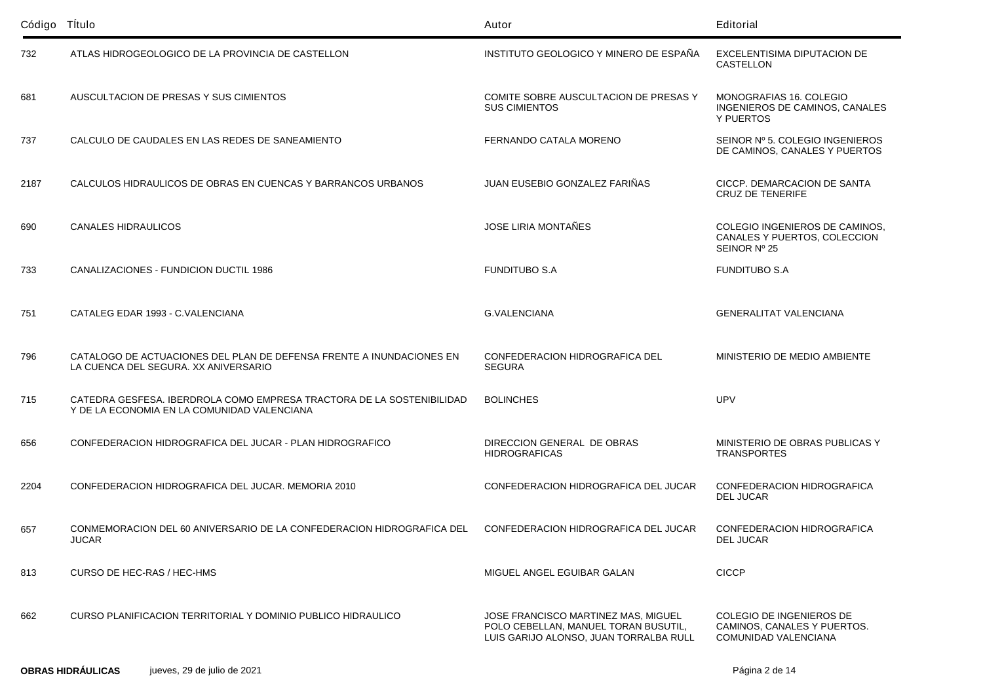| Código Título |                                                                                                                      | Autor                                                                                                                 | Editorial                                                                              |
|---------------|----------------------------------------------------------------------------------------------------------------------|-----------------------------------------------------------------------------------------------------------------------|----------------------------------------------------------------------------------------|
| 732           | ATLAS HIDROGEOLOGICO DE LA PROVINCIA DE CASTELLON                                                                    | INSTITUTO GEOLOGICO Y MINERO DE ESPAÑA                                                                                | EXCELENTISIMA DIPUTACION DE<br>CASTELLON                                               |
| 681           | AUSCULTACION DE PRESAS Y SUS CIMIENTOS                                                                               | COMITE SOBRE AUSCULTACION DE PRESAS Y<br><b>SUS CIMIENTOS</b>                                                         | MONOGRAFIAS 16, COLEGIO<br>INGENIEROS DE CAMINOS, CANALES<br>Y PUERTOS                 |
| 737           | CALCULO DE CAUDALES EN LAS REDES DE SANEAMIENTO                                                                      | FERNANDO CATALA MORENO                                                                                                | SEINOR Nº 5, COLEGIO INGENIEROS<br>DE CAMINOS, CANALES Y PUERTOS                       |
| 2187          | CALCULOS HIDRAULICOS DE OBRAS EN CUENCAS Y BARRANCOS URBANOS                                                         | JUAN EUSEBIO GONZALEZ FARIÑAS                                                                                         | CICCP. DEMARCACION DE SANTA<br><b>CRUZ DE TENERIFE</b>                                 |
| 690           | <b>CANALES HIDRAULICOS</b>                                                                                           | <b>JOSE LIRIA MONTAÑES</b>                                                                                            | COLEGIO INGENIEROS DE CAMINOS.<br>CANALES Y PUERTOS, COLECCION<br>SEINOR Nº 25         |
| 733           | CANALIZACIONES - FUNDICION DUCTIL 1986                                                                               | <b>FUNDITUBO S.A</b>                                                                                                  | <b>FUNDITUBO S.A</b>                                                                   |
| 751           | CATALEG EDAR 1993 - C.VALENCIANA                                                                                     | <b>G.VALENCIANA</b>                                                                                                   | <b>GENERALITAT VALENCIANA</b>                                                          |
| 796           | CATALOGO DE ACTUACIONES DEL PLAN DE DEFENSA FRENTE A INUNDACIONES EN<br>LA CUENCA DEL SEGURA. XX ANIVERSARIO         | CONFEDERACION HIDROGRAFICA DEL<br><b>SEGURA</b>                                                                       | MINISTERIO DE MEDIO AMBIENTE                                                           |
| 715           | CATEDRA GESFESA. IBERDROLA COMO EMPRESA TRACTORA DE LA SOSTENIBILIDAD<br>Y DE LA ECONOMIA EN LA COMUNIDAD VALENCIANA | <b>BOLINCHES</b>                                                                                                      | UPV                                                                                    |
| 656           | CONFEDERACION HIDROGRAFICA DEL JUCAR - PLAN HIDROGRAFICO                                                             | DIRECCION GENERAL DE OBRAS<br><b>HIDROGRAFICAS</b>                                                                    | MINISTERIO DE OBRAS PUBLICAS Y<br><b>TRANSPORTES</b>                                   |
| 2204          | CONFEDERACION HIDROGRAFICA DEL JUCAR. MEMORIA 2010                                                                   | CONFEDERACION HIDROGRAFICA DEL JUCAR                                                                                  | CONFEDERACION HIDROGRAFICA<br><b>DEL JUCAR</b>                                         |
| 657           | CONMEMORACION DEL 60 ANIVERSARIO DE LA CONFEDERACION HIDROGRAFICA DEL<br><b>JUCAR</b>                                | CONFEDERACION HIDROGRAFICA DEL JUCAR                                                                                  | CONFEDERACION HIDROGRAFICA<br>DEL JUCAR                                                |
| 813           | CURSO DE HEC-RAS / HEC-HMS                                                                                           | MIGUEL ANGEL EGUIBAR GALAN                                                                                            | <b>CICCP</b>                                                                           |
| 662           | CURSO PLANIFICACION TERRITORIAL Y DOMINIO PUBLICO HIDRAULICO                                                         | JOSE FRANCISCO MARTINEZ MAS, MIGUEL<br>POLO CEBELLAN, MANUEL TORAN BUSUTIL,<br>LUIS GARIJO ALONSO, JUAN TORRALBA RULL | COLEGIO DE INGENIEROS DE<br>CAMINOS, CANALES Y PUERTOS.<br><b>COMUNIDAD VALENCIANA</b> |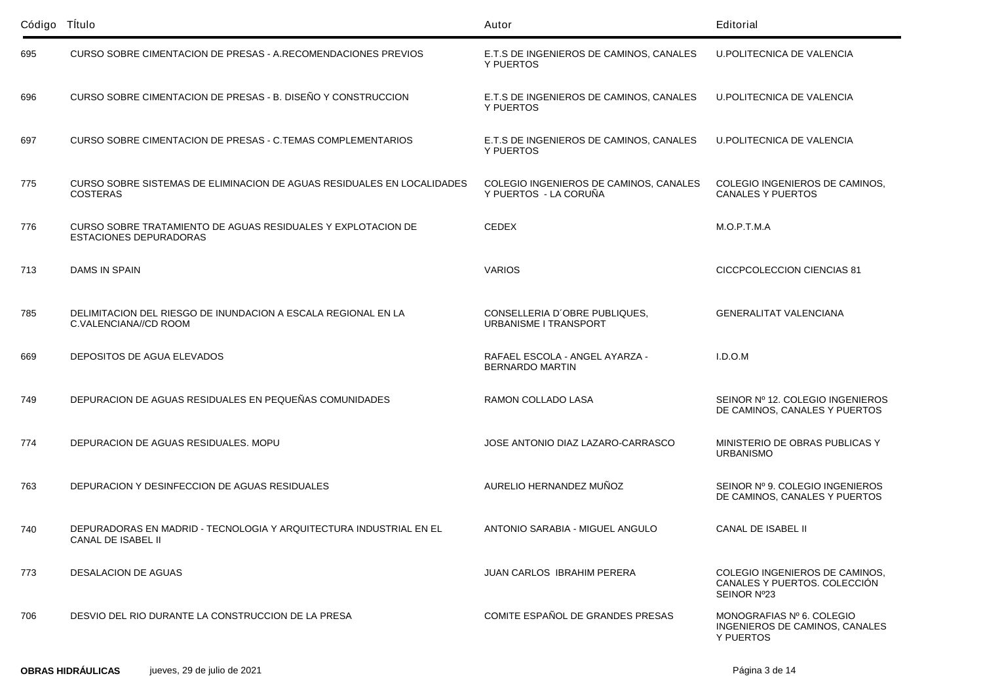| Código Título |                                                                                               | Autor                                                           | Editorial                                                                     |
|---------------|-----------------------------------------------------------------------------------------------|-----------------------------------------------------------------|-------------------------------------------------------------------------------|
| 695           | CURSO SOBRE CIMENTACION DE PRESAS - A.RECOMENDACIONES PREVIOS                                 | E.T.S DE INGENIEROS DE CAMINOS, CANALES<br><b>Y PUERTOS</b>     | U.POLITECNICA DE VALENCIA                                                     |
| 696           | CURSO SOBRE CIMENTACION DE PRESAS - B. DISEÑO Y CONSTRUCCION                                  | E.T.S DE INGENIEROS DE CAMINOS, CANALES<br>Y PUERTOS            | U.POLITECNICA DE VALENCIA                                                     |
| 697           | CURSO SOBRE CIMENTACION DE PRESAS - C.TEMAS COMPLEMENTARIOS                                   | E.T.S DE INGENIEROS DE CAMINOS, CANALES<br>Y PUERTOS            | <b>U.POLITECNICA DE VALENCIA</b>                                              |
| 775           | CURSO SOBRE SISTEMAS DE ELIMINACION DE AGUAS RESIDUALES EN LOCALIDADES<br><b>COSTERAS</b>     | COLEGIO INGENIEROS DE CAMINOS, CANALES<br>Y PUERTOS - LA CORUÑA | COLEGIO INGENIEROS DE CAMINOS,<br><b>CANALES Y PUERTOS</b>                    |
| 776           | CURSO SOBRE TRATAMIENTO DE AGUAS RESIDUALES Y EXPLOTACION DE<br><b>ESTACIONES DEPURADORAS</b> | <b>CEDEX</b>                                                    | M.O.P.T.M.A                                                                   |
| 713           | DAMS IN SPAIN                                                                                 | <b>VARIOS</b>                                                   | CICCPCOLECCION CIENCIAS 81                                                    |
| 785           | DELIMITACION DEL RIESGO DE INUNDACION A ESCALA REGIONAL EN LA<br>C.VALENCIANA//CD ROOM        | CONSELLERIA D'OBRE PUBLIQUES,<br>URBANISME I TRANSPORT          | <b>GENERALITAT VALENCIANA</b>                                                 |
| 669           | DEPOSITOS DE AGUA ELEVADOS                                                                    | RAFAEL ESCOLA - ANGEL AYARZA -<br><b>BERNARDO MARTIN</b>        | I.D.O.M                                                                       |
| 749           | DEPURACION DE AGUAS RESIDUALES EN PEQUEÑAS COMUNIDADES                                        | RAMON COLLADO LASA                                              | SEINOR Nº 12. COLEGIO INGENIEROS<br>DE CAMINOS, CANALES Y PUERTOS             |
| 774           | DEPURACION DE AGUAS RESIDUALES. MOPU                                                          | JOSE ANTONIO DIAZ LAZARO-CARRASCO                               | MINISTERIO DE OBRAS PUBLICAS Y<br><b>URBANISMO</b>                            |
| 763           | DEPURACION Y DESINFECCION DE AGUAS RESIDUALES                                                 | AURELIO HERNANDEZ MUÑOZ                                         | SEINOR Nº 9. COLEGIO INGENIEROS<br>DE CAMINOS, CANALES Y PUERTOS              |
| 740           | DEPURADORAS EN MADRID - TECNOLOGIA Y ARQUITECTURA INDUSTRIAL EN EL<br>CANAL DE ISABEL II      | ANTONIO SARABIA - MIGUEL ANGULO                                 | CANAL DE ISABEL II                                                            |
| 773           | DESALACION DE AGUAS                                                                           | <b>JUAN CARLOS IBRAHIM PERERA</b>                               | COLEGIO INGENIEROS DE CAMINOS,<br>CANALES Y PUERTOS. COLECCIÓN<br>SEINOR Nº23 |
| 706           | DESVIO DEL RIO DURANTE LA CONSTRUCCION DE LA PRESA                                            | COMITE ESPAÑOL DE GRANDES PRESAS                                | MONOGRAFIAS Nº 6. COLEGIO<br>INGENIEROS DE CAMINOS, CANALES<br>Y PUERTOS      |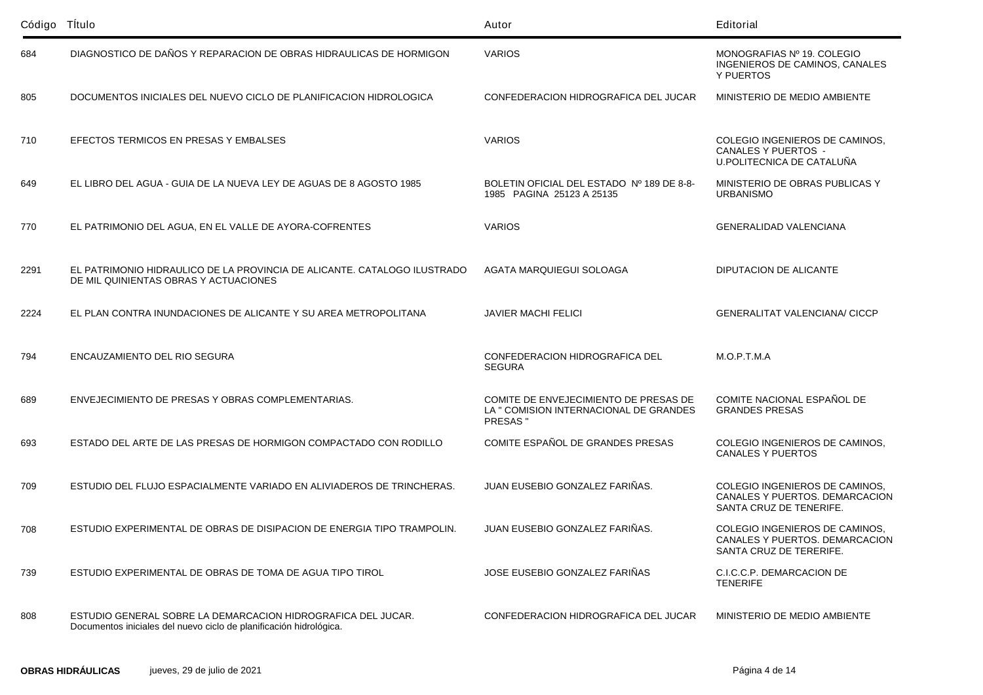| Código Título |                                                                                                                                    | Autor                                                                                       | Editorial                                                                                   |
|---------------|------------------------------------------------------------------------------------------------------------------------------------|---------------------------------------------------------------------------------------------|---------------------------------------------------------------------------------------------|
| 684           | DIAGNOSTICO DE DAÑOS Y REPARACION DE OBRAS HIDRAULICAS DE HORMIGON                                                                 | <b>VARIOS</b>                                                                               | MONOGRAFIAS Nº 19. COLEGIO<br>INGENIEROS DE CAMINOS, CANALES<br>Y PUERTOS                   |
| 805           | DOCUMENTOS INICIALES DEL NUEVO CICLO DE PLANIFICACION HIDROLOGICA                                                                  | CONFEDERACION HIDROGRAFICA DEL JUCAR                                                        | MINISTERIO DE MEDIO AMBIENTE                                                                |
| 710           | EFECTOS TERMICOS EN PRESAS Y EMBALSES                                                                                              | <b>VARIOS</b>                                                                               | COLEGIO INGENIEROS DE CAMINOS,<br><b>CANALES Y PUERTOS -</b><br>U.POLITECNICA DE CATALUÑA   |
| 649           | EL LIBRO DEL AGUA - GUIA DE LA NUEVA LEY DE AGUAS DE 8 AGOSTO 1985                                                                 | BOLETIN OFICIAL DEL ESTADO Nº 189 DE 8-8-<br>1985 PAGINA 25123 A 25135                      | MINISTERIO DE OBRAS PUBLICAS Y<br><b>URBANISMO</b>                                          |
| 770           | EL PATRIMONIO DEL AGUA, EN EL VALLE DE AYORA-COFRENTES                                                                             | <b>VARIOS</b>                                                                               | GENERALIDAD VALENCIANA                                                                      |
| 2291          | EL PATRIMONIO HIDRAULICO DE LA PROVINCIA DE ALICANTE. CATALOGO ILUSTRADO<br>DE MIL QUINIENTAS OBRAS Y ACTUACIONES                  | AGATA MARQUIEGUI SOLOAGA                                                                    | DIPUTACION DE ALICANTE                                                                      |
| 2224          | EL PLAN CONTRA INUNDACIONES DE ALICANTE Y SU AREA METROPOLITANA                                                                    | <b>JAVIER MACHI FELICI</b>                                                                  | <b>GENERALITAT VALENCIANA/ CICCP</b>                                                        |
| 794           | ENCAUZAMIENTO DEL RIO SEGURA                                                                                                       | CONFEDERACION HIDROGRAFICA DEL<br><b>SEGURA</b>                                             | M.O.P.T.M.A                                                                                 |
| 689           | ENVEJECIMIENTO DE PRESAS Y OBRAS COMPLEMENTARIAS.                                                                                  | COMITE DE ENVEJECIMIENTO DE PRESAS DE<br>LA " COMISION INTERNACIONAL DE GRANDES<br>PRESAS " | COMITE NACIONAL ESPAÑOL DE<br><b>GRANDES PRESAS</b>                                         |
| 693           | ESTADO DEL ARTE DE LAS PRESAS DE HORMIGON COMPACTADO CON RODILLO                                                                   | COMITE ESPAÑOL DE GRANDES PRESAS                                                            | COLEGIO INGENIEROS DE CAMINOS,<br><b>CANALES Y PUERTOS</b>                                  |
| 709           | ESTUDIO DEL FLUJO ESPACIALMENTE VARIADO EN ALIVIADEROS DE TRINCHERAS.                                                              | JUAN EUSEBIO GONZALEZ FARIÑAS.                                                              | COLEGIO INGENIEROS DE CAMINOS,<br>CANALES Y PUERTOS, DEMARCACION<br>SANTA CRUZ DE TENERIFE. |
| 708           | ESTUDIO EXPERIMENTAL DE OBRAS DE DISIPACION DE ENERGIA TIPO TRAMPOLIN.                                                             | JUAN EUSEBIO GONZALEZ FARIÑAS.                                                              | COLEGIO INGENIEROS DE CAMINOS.<br>CANALES Y PUERTOS. DEMARCACION<br>SANTA CRUZ DE TERERIFE. |
| 739           | ESTUDIO EXPERIMENTAL DE OBRAS DE TOMA DE AGUA TIPO TIROL                                                                           | JOSE EUSEBIO GONZALEZ FARIÑAS                                                               | C.I.C.C.P. DEMARCACION DE<br><b>TENERIFE</b>                                                |
| 808           | ESTUDIO GENERAL SOBRE LA DEMARCACION HIDROGRAFICA DEL JUCAR.<br>Documentos iniciales del nuevo ciclo de planificación hidrológica. | CONFEDERACION HIDROGRAFICA DEL JUCAR                                                        | MINISTERIO DE MEDIO AMBIENTE                                                                |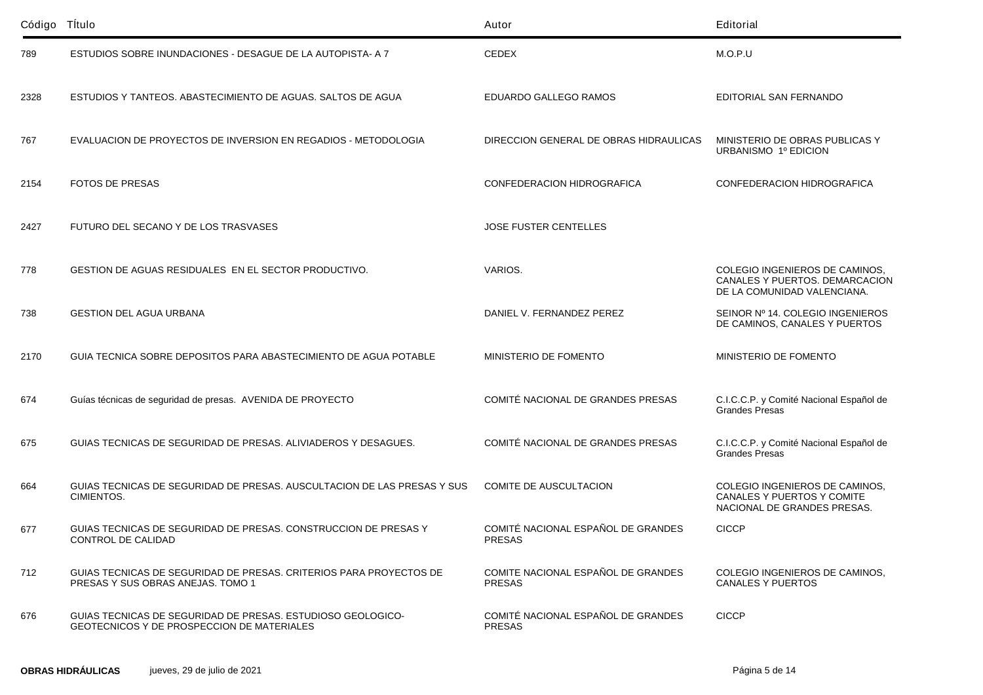| Código Título |                                                                                                           | Autor                                               | Editorial                                                                                       |
|---------------|-----------------------------------------------------------------------------------------------------------|-----------------------------------------------------|-------------------------------------------------------------------------------------------------|
| 789           | ESTUDIOS SOBRE INUNDACIONES - DESAGUE DE LA AUTOPISTA- A 7                                                | <b>CEDEX</b>                                        | M.O.P.U                                                                                         |
| 2328          | ESTUDIOS Y TANTEOS. ABASTECIMIENTO DE AGUAS. SALTOS DE AGUA                                               | EDUARDO GALLEGO RAMOS                               | EDITORIAL SAN FERNANDO                                                                          |
| 767           | EVALUACION DE PROYECTOS DE INVERSION EN REGADIOS - METODOLOGIA                                            | DIRECCION GENERAL DE OBRAS HIDRAULICAS              | MINISTERIO DE OBRAS PUBLICAS Y<br>URBANISMO 1º EDICION                                          |
| 2154          | <b>FOTOS DE PRESAS</b>                                                                                    | CONFEDERACION HIDROGRAFICA                          | CONFEDERACION HIDROGRAFICA                                                                      |
| 2427          | FUTURO DEL SECANO Y DE LOS TRASVASES                                                                      | JOSE FUSTER CENTELLES                               |                                                                                                 |
| 778           | GESTION DE AGUAS RESIDUALES EN EL SECTOR PRODUCTIVO.                                                      | VARIOS.                                             | COLEGIO INGENIEROS DE CAMINOS.<br>CANALES Y PUERTOS. DEMARCACION<br>DE LA COMUNIDAD VALENCIANA. |
| 738           | <b>GESTION DEL AGUA URBANA</b>                                                                            | DANIEL V. FERNANDEZ PEREZ                           | SEINOR Nº 14. COLEGIO INGENIEROS<br>DE CAMINOS, CANALES Y PUERTOS                               |
| 2170          | GUIA TECNICA SOBRE DEPOSITOS PARA ABASTECIMIENTO DE AGUA POTABLE                                          | MINISTERIO DE FOMENTO                               | MINISTERIO DE FOMENTO                                                                           |
| 674           | Guías técnicas de seguridad de presas. AVENIDA DE PROYECTO                                                | COMITÉ NACIONAL DE GRANDES PRESAS                   | C.I.C.C.P. y Comité Nacional Español de<br><b>Grandes Presas</b>                                |
| 675           | GUIAS TECNICAS DE SEGURIDAD DE PRESAS. ALIVIADEROS Y DESAGUES.                                            | COMITÉ NACIONAL DE GRANDES PRESAS                   | C.I.C.C.P. y Comité Nacional Español de<br><b>Grandes Presas</b>                                |
| 664           | GUIAS TECNICAS DE SEGURIDAD DE PRESAS. AUSCULTACION DE LAS PRESAS Y SUS<br>CIMIENTOS.                     | <b>COMITE DE AUSCULTACION</b>                       | COLEGIO INGENIEROS DE CAMINOS,<br>CANALES Y PUERTOS Y COMITE<br>NACIONAL DE GRANDES PRESAS.     |
| 677           | GUIAS TECNICAS DE SEGURIDAD DE PRESAS. CONSTRUCCION DE PRESAS Y<br>CONTROL DE CALIDAD                     | COMITÉ NACIONAL ESPAÑOL DE GRANDES<br>PRESAS        | <b>CICCP</b>                                                                                    |
| 712           | GUIAS TECNICAS DE SEGURIDAD DE PRESAS. CRITERIOS PARA PROYECTOS DE<br>PRESAS Y SUS OBRAS ANEJAS. TOMO 1   | COMITE NACIONAL ESPAÑOL DE GRANDES<br><b>PRESAS</b> | COLEGIO INGENIEROS DE CAMINOS,<br>CANALES Y PUERTOS                                             |
| 676           | GUIAS TECNICAS DE SEGURIDAD DE PRESAS. ESTUDIOSO GEOLOGICO-<br>GEOTECNICOS Y DE PROSPECCION DE MATERIALES | COMITÉ NACIONAL ESPAÑOL DE GRANDES<br><b>PRESAS</b> | <b>CICCP</b>                                                                                    |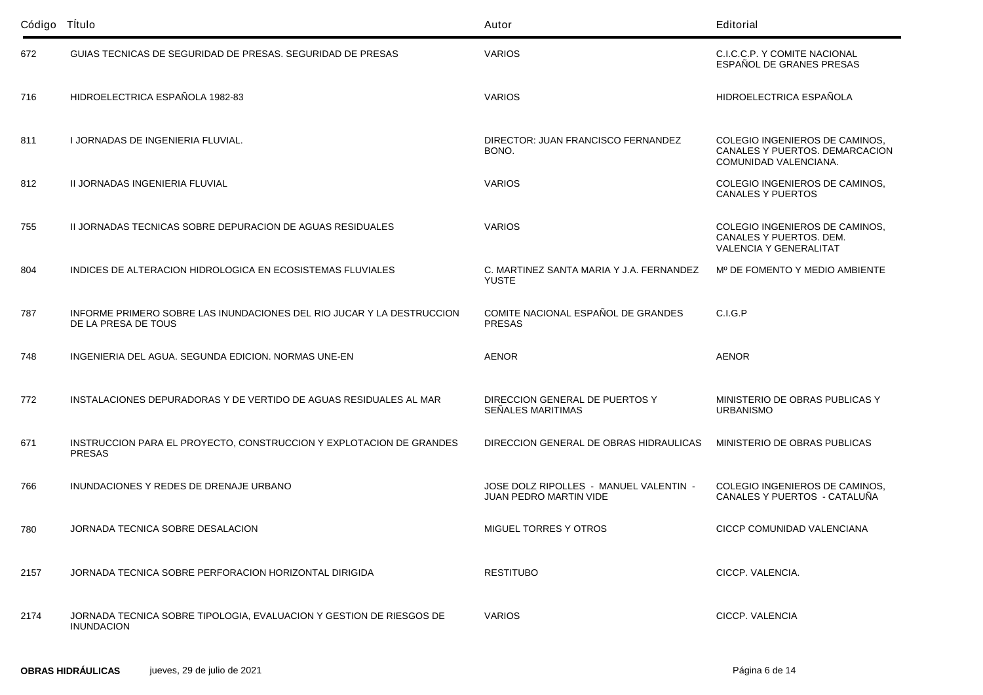| Código Título |                                                                                              | Autor                                                            | Editorial                                                                                  |
|---------------|----------------------------------------------------------------------------------------------|------------------------------------------------------------------|--------------------------------------------------------------------------------------------|
| 672           | GUIAS TECNICAS DE SEGURIDAD DE PRESAS. SEGURIDAD DE PRESAS                                   | <b>VARIOS</b>                                                    | C.I.C.C.P. Y COMITE NACIONAL<br>ESPAÑOL DE GRANES PRESAS                                   |
| 716           | HIDROELECTRICA ESPAÑOLA 1982-83                                                              | <b>VARIOS</b>                                                    | HIDROELECTRICA ESPAÑOLA                                                                    |
| 811           | I JORNADAS DE INGENIERIA FLUVIAL.                                                            | DIRECTOR: JUAN FRANCISCO FERNANDEZ<br>BONO.                      | COLEGIO INGENIEROS DE CAMINOS,<br>CANALES Y PUERTOS. DEMARCACION<br>COMUNIDAD VALENCIANA.  |
| 812           | II JORNADAS INGENIERIA FLUVIAL                                                               | <b>VARIOS</b>                                                    | COLEGIO INGENIEROS DE CAMINOS,<br><b>CANALES Y PUERTOS</b>                                 |
| 755           | II JORNADAS TECNICAS SOBRE DEPURACION DE AGUAS RESIDUALES                                    | <b>VARIOS</b>                                                    | COLEGIO INGENIEROS DE CAMINOS,<br>CANALES Y PUERTOS, DEM.<br><b>VALENCIA Y GENERALITAT</b> |
| 804           | INDICES DE ALTERACION HIDROLOGICA EN ECOSISTEMAS FLUVIALES                                   | C. MARTINEZ SANTA MARIA Y J.A. FERNANDEZ<br><b>YUSTE</b>         | Mº DE FOMENTO Y MEDIO AMBIENTE                                                             |
| 787           | INFORME PRIMERO SOBRE LAS INUNDACIONES DEL RIO JUCAR Y LA DESTRUCCION<br>DE LA PRESA DE TOUS | COMITE NACIONAL ESPAÑOL DE GRANDES<br><b>PRESAS</b>              | C.I.G.P                                                                                    |
| 748           | INGENIERIA DEL AGUA. SEGUNDA EDICION. NORMAS UNE-EN                                          | <b>AENOR</b>                                                     | <b>AENOR</b>                                                                               |
| 772           | INSTALACIONES DEPURADORAS Y DE VERTIDO DE AGUAS RESIDUALES AL MAR                            | DIRECCION GENERAL DE PUERTOS Y<br>SEÑALES MARITIMAS              | MINISTERIO DE OBRAS PUBLICAS Y<br><b>URBANISMO</b>                                         |
| 671           | INSTRUCCION PARA EL PROYECTO, CONSTRUCCION Y EXPLOTACION DE GRANDES<br><b>PRESAS</b>         | DIRECCION GENERAL DE OBRAS HIDRAULICAS                           | MINISTERIO DE OBRAS PUBLICAS                                                               |
| 766           | INUNDACIONES Y REDES DE DRENAJE URBANO                                                       | JOSE DOLZ RIPOLLES - MANUEL VALENTIN -<br>JUAN PEDRO MARTIN VIDE | COLEGIO INGENIEROS DE CAMINOS.<br>CANALES Y PUERTOS - CATALUÑA                             |
| 780           | JORNADA TECNICA SOBRE DESALACION                                                             | <b>MIGUEL TORRES Y OTROS</b>                                     | CICCP COMUNIDAD VALENCIANA                                                                 |
| 2157          | JORNADA TECNICA SOBRE PERFORACION HORIZONTAL DIRIGIDA                                        | <b>RESTITUBO</b>                                                 | CICCP. VALENCIA.                                                                           |
| 2174          | JORNADA TECNICA SOBRE TIPOLOGIA, EVALUACION Y GESTION DE RIESGOS DE<br><b>INUNDACION</b>     | <b>VARIOS</b>                                                    | CICCP. VALENCIA                                                                            |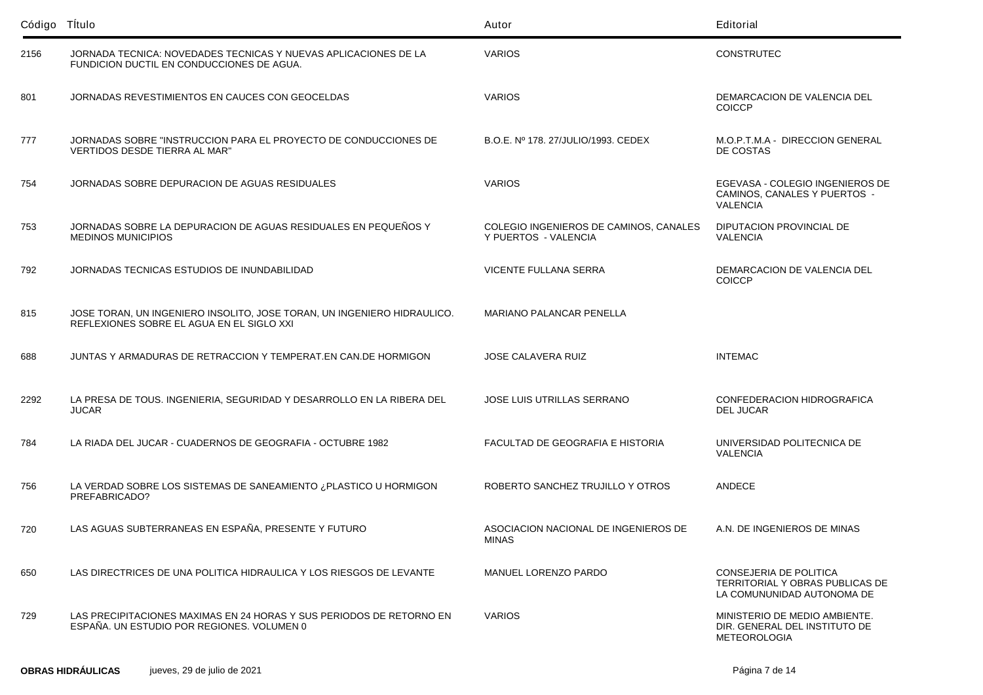| Código Título |                                                                                                                      | Autor                                                          | Editorial                                                                               |
|---------------|----------------------------------------------------------------------------------------------------------------------|----------------------------------------------------------------|-----------------------------------------------------------------------------------------|
| 2156          | JORNADA TECNICA: NOVEDADES TECNICAS Y NUEVAS APLICACIONES DE LA<br>FUNDICION DUCTIL EN CONDUCCIONES DE AGUA.         | <b>VARIOS</b>                                                  | <b>CONSTRUTEC</b>                                                                       |
| 801           | JORNADAS REVESTIMIENTOS EN CAUCES CON GEOCELDAS                                                                      | <b>VARIOS</b>                                                  | DEMARCACION DE VALENCIA DEL<br><b>COICCP</b>                                            |
| 777           | JORNADAS SOBRE "INSTRUCCION PARA EL PROYECTO DE CONDUCCIONES DE<br>VERTIDOS DESDE TIERRA AL MAR"                     | B.O.E. Nº 178, 27/JULIO/1993, CEDEX                            | M.O.P.T.M.A - DIRECCION GENERAL<br>DE COSTAS                                            |
| 754           | JORNADAS SOBRE DEPURACION DE AGUAS RESIDUALES                                                                        | <b>VARIOS</b>                                                  | EGEVASA - COLEGIO INGENIEROS DE<br>CAMINOS, CANALES Y PUERTOS -<br><b>VALENCIA</b>      |
| 753           | JORNADAS SOBRE LA DEPURACION DE AGUAS RESIDUALES EN PEQUEÑOS Y<br><b>MEDINOS MUNICIPIOS</b>                          | COLEGIO INGENIEROS DE CAMINOS, CANALES<br>Y PUERTOS - VALENCIA | DIPUTACION PROVINCIAL DE<br><b>VALENCIA</b>                                             |
| 792           | JORNADAS TECNICAS ESTUDIOS DE INUNDABILIDAD                                                                          | VICENTE FULLANA SERRA                                          | DEMARCACION DE VALENCIA DEL<br><b>COICCP</b>                                            |
| 815           | JOSE TORAN, UN INGENIERO INSOLITO, JOSE TORAN, UN INGENIERO HIDRAULICO.<br>REFLEXIONES SOBRE EL AGUA EN EL SIGLO XXI | MARIANO PALANCAR PENELLA                                       |                                                                                         |
| 688           | JUNTAS Y ARMADURAS DE RETRACCION Y TEMPERAT.EN CAN.DE HORMIGON                                                       | <b>JOSE CALAVERA RUIZ</b>                                      | <b>INTEMAC</b>                                                                          |
| 2292          | LA PRESA DE TOUS. INGENIERIA, SEGURIDAD Y DESARROLLO EN LA RIBERA DEL<br><b>JUCAR</b>                                | JOSE LUIS UTRILLAS SERRANO                                     | <b>CONFEDERACION HIDROGRAFICA</b><br><b>DEL JUCAR</b>                                   |
| 784           | LA RIADA DEL JUCAR - CUADERNOS DE GEOGRAFIA - OCTUBRE 1982                                                           | FACULTAD DE GEOGRAFIA E HISTORIA                               | UNIVERSIDAD POLITECNICA DE<br><b>VALENCIA</b>                                           |
| 756           | LA VERDAD SOBRE LOS SISTEMAS DE SANEAMIENTO ¿PLASTICO U HORMIGON<br>PREFABRICADO?                                    | ROBERTO SANCHEZ TRUJILLO Y OTROS                               | <b>ANDECE</b>                                                                           |
| 720           | LAS AGUAS SUBTERRANEAS EN ESPAÑA, PRESENTE Y FUTURO                                                                  | ASOCIACION NACIONAL DE INGENIEROS DE<br>MINAS                  | A.N. DE INGENIEROS DE MINAS                                                             |
| 650           | LAS DIRECTRICES DE UNA POLITICA HIDRAULICA Y LOS RIESGOS DE LEVANTE                                                  | MANUEL LORENZO PARDO                                           | CONSEJERIA DE POLITICA<br>TERRITORIAL Y OBRAS PUBLICAS DE<br>LA COMUNUNIDAD AUTONOMA DE |
| 729           | LAS PRECIPITACIONES MAXIMAS EN 24 HORAS Y SUS PERIODOS DE RETORNO EN<br>ESPAÑA. UN ESTUDIO POR REGIONES, VOLUMEN 0   | <b>VARIOS</b>                                                  | MINISTERIO DE MEDIO AMBIENTE.<br>DIR. GENERAL DEL INSTITUTO DE<br><b>METEOROLOGIA</b>   |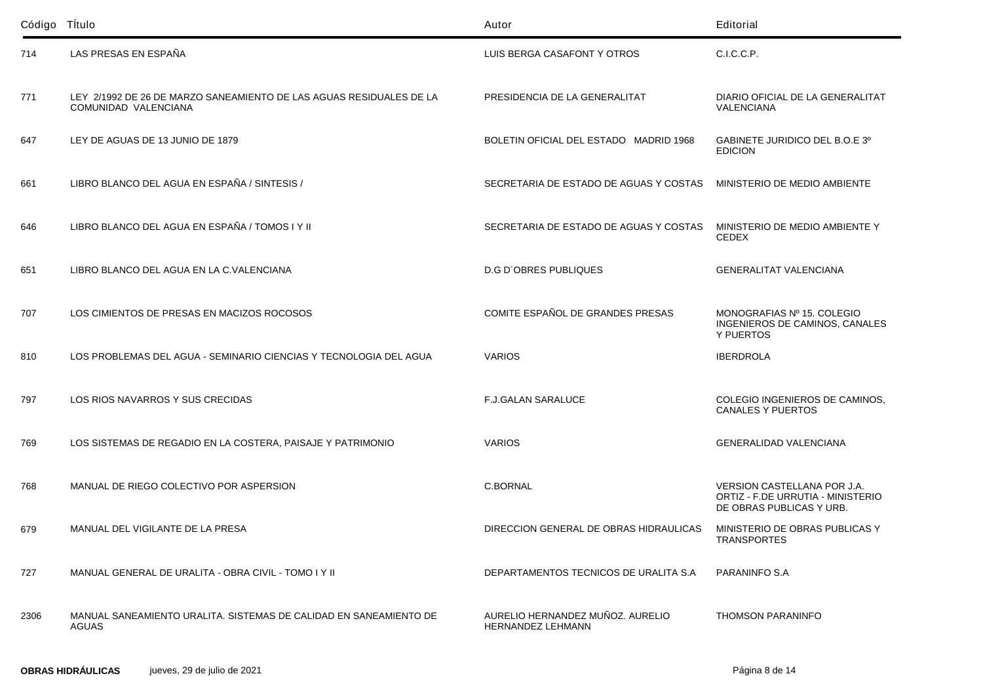| Código Título |                                                                                             | Autor                                                        | Editorial                                                                                    |
|---------------|---------------------------------------------------------------------------------------------|--------------------------------------------------------------|----------------------------------------------------------------------------------------------|
| 714           | LAS PRESAS EN ESPAÑA                                                                        | LUIS BERGA CASAFONT Y OTROS                                  | C.I.C.C.P.                                                                                   |
| 771           | LEY 2/1992 DE 26 DE MARZO SANEAMIENTO DE LAS AGUAS RESIDUALES DE LA<br>COMUNIDAD VALENCIANA | PRESIDENCIA DE LA GENERALITAT                                | DIARIO OFICIAL DE LA GENERALITAT<br><b>VALENCIANA</b>                                        |
| 647           | LEY DE AGUAS DE 13 JUNIO DE 1879                                                            | BOLETIN OFICIAL DEL ESTADO MADRID 1968                       | GABINETE JURIDICO DEL B.O.E 3º<br><b>EDICION</b>                                             |
| 661           | LIBRO BLANCO DEL AGUA EN ESPAÑA / SINTESIS /                                                | SECRETARIA DE ESTADO DE AGUAS Y COSTAS                       | MINISTERIO DE MEDIO AMBIENTE                                                                 |
| 646           | LIBRO BLANCO DEL AGUA EN ESPAÑA / TOMOS I Y II                                              | SECRETARIA DE ESTADO DE AGUAS Y COSTAS                       | MINISTERIO DE MEDIO AMBIENTE Y<br><b>CEDEX</b>                                               |
| 651           | LIBRO BLANCO DEL AGUA EN LA C.VALENCIANA                                                    | <b>D.G D'OBRES PUBLIQUES</b>                                 | <b>GENERALITAT VALENCIANA</b>                                                                |
| 707           | LOS CIMIENTOS DE PRESAS EN MACIZOS ROCOSOS                                                  | COMITE ESPAÑOL DE GRANDES PRESAS                             | MONOGRAFIAS Nº 15. COLEGIO<br>INGENIEROS DE CAMINOS, CANALES<br>Y PUERTOS                    |
| 810           | LOS PROBLEMAS DEL AGUA - SEMINARIO CIENCIAS Y TECNOLOGIA DEL AGUA                           | <b>VARIOS</b>                                                | <b>IBERDROLA</b>                                                                             |
| 797           | LOS RIOS NAVARROS Y SUS CRECIDAS                                                            | <b>F.J.GALAN SARALUCE</b>                                    | COLEGIO INGENIEROS DE CAMINOS,<br><b>CANALES Y PUERTOS</b>                                   |
| 769           | LOS SISTEMAS DE REGADIO EN LA COSTERA, PAISAJE Y PATRIMONIO                                 | <b>VARIOS</b>                                                | <b>GENERALIDAD VALENCIANA</b>                                                                |
| 768           | MANUAL DE RIEGO COLECTIVO POR ASPERSION                                                     | C.BORNAL                                                     | VERSION CASTELLANA POR J.A.<br>ORTIZ - F.DE URRUTIA - MINISTERIO<br>DE OBRAS PUBLICAS Y URB. |
| 679           | MANUAL DEL VIGILANTE DE LA PRESA                                                            | DIRECCION GENERAL DE OBRAS HIDRAULICAS                       | MINISTERIO DE OBRAS PUBLICAS Y<br><b>TRANSPORTES</b>                                         |
| 727           | MANUAL GENERAL DE URALITA - OBRA CIVIL - TOMO I Y II                                        | DEPARTAMENTOS TECNICOS DE URALITA S.A                        | PARANINFO S.A                                                                                |
| 2306          | MANUAL SANEAMIENTO URALITA. SISTEMAS DE CALIDAD EN SANEAMIENTO DE<br>AGUAS                  | AURELIO HERNANDEZ MUÑOZ. AURELIO<br><b>HERNANDEZ LEHMANN</b> | <b>THOMSON PARANINFO</b>                                                                     |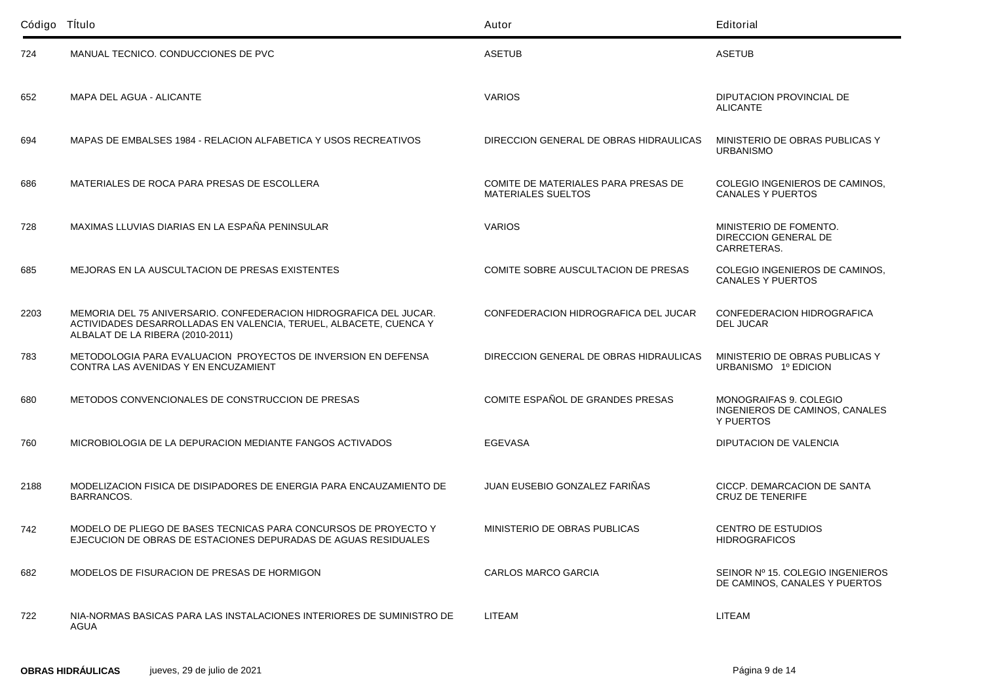| Código Título |                                                                                                                                                                            | Autor                                                            | Editorial                                                             |
|---------------|----------------------------------------------------------------------------------------------------------------------------------------------------------------------------|------------------------------------------------------------------|-----------------------------------------------------------------------|
| 724           | MANUAL TECNICO. CONDUCCIONES DE PVC                                                                                                                                        | <b>ASETUB</b>                                                    | <b>ASETUB</b>                                                         |
| 652           | <b>MAPA DEL AGUA - ALICANTE</b>                                                                                                                                            | <b>VARIOS</b>                                                    | DIPUTACION PROVINCIAL DE<br><b>ALICANTE</b>                           |
| 694           | MAPAS DE EMBALSES 1984 - RELACION ALFABETICA Y USOS RECREATIVOS                                                                                                            | DIRECCION GENERAL DE OBRAS HIDRAULICAS                           | MINISTERIO DE OBRAS PUBLICAS Y<br><b>URBANISMO</b>                    |
| 686           | MATERIALES DE ROCA PARA PRESAS DE ESCOLLERA                                                                                                                                | COMITE DE MATERIALES PARA PRESAS DE<br><b>MATERIALES SUELTOS</b> | COLEGIO INGENIEROS DE CAMINOS,<br><b>CANALES Y PUERTOS</b>            |
| 728           | MAXIMAS LLUVIAS DIARIAS EN LA ESPAÑA PENINSULAR                                                                                                                            | <b>VARIOS</b>                                                    | MINISTERIO DE FOMENTO.<br>DIRECCION GENERAL DE<br>CARRETERAS.         |
| 685           | MEJORAS EN LA AUSCULTACION DE PRESAS EXISTENTES                                                                                                                            | COMITE SOBRE AUSCULTACION DE PRESAS                              | COLEGIO INGENIEROS DE CAMINOS,<br><b>CANALES Y PUERTOS</b>            |
| 2203          | MEMORIA DEL 75 ANIVERSARIO. CONFEDERACION HIDROGRAFICA DEL JUCAR.<br>ACTIVIDADES DESARROLLADAS EN VALENCIA, TERUEL, ALBACETE, CUENCA Y<br>ALBALAT DE LA RIBERA (2010-2011) | CONFEDERACION HIDROGRAFICA DEL JUCAR                             | CONFEDERACION HIDROGRAFICA<br><b>DEL JUCAR</b>                        |
| 783           | METODOLOGIA PARA EVALUACION PROYECTOS DE INVERSION EN DEFENSA<br>CONTRA LAS AVENIDAS Y EN ENCUZAMIENT                                                                      | DIRECCION GENERAL DE OBRAS HIDRAULICAS                           | MINISTERIO DE OBRAS PUBLICAS Y<br>URBANISMO 1º EDICION                |
| 680           | METODOS CONVENCIONALES DE CONSTRUCCION DE PRESAS                                                                                                                           | COMITE ESPAÑOL DE GRANDES PRESAS                                 | MONOGRAIFAS 9. COLEGIO<br>INGENIEROS DE CAMINOS, CANALES<br>Y PUERTOS |
| 760           | MICROBIOLOGIA DE LA DEPURACION MEDIANTE FANGOS ACTIVADOS                                                                                                                   | <b>EGEVASA</b>                                                   | DIPUTACION DE VALENCIA                                                |
| 2188          | MODELIZACION FISICA DE DISIPADORES DE ENERGIA PARA ENCAUZAMIENTO DE<br>BARRANCOS.                                                                                          | JUAN EUSEBIO GONZALEZ FARIÑAS                                    | CICCP. DEMARCACION DE SANTA<br><b>CRUZ DE TENERIFE</b>                |
| 742           | MODELO DE PLIEGO DE BASES TECNICAS PARA CONCURSOS DE PROYECTO Y<br>EJECUCION DE OBRAS DE ESTACIONES DEPURADAS DE AGUAS RESIDUALES                                          | MINISTERIO DE OBRAS PUBLICAS                                     | <b>CENTRO DE ESTUDIOS</b><br><b>HIDROGRAFICOS</b>                     |
| 682           | MODELOS DE FISURACION DE PRESAS DE HORMIGON                                                                                                                                | <b>CARLOS MARCO GARCIA</b>                                       | SEINOR Nº 15. COLEGIO INGENIEROS<br>DE CAMINOS, CANALES Y PUERTOS     |
| 722           | NIA-NORMAS BASICAS PARA LAS INSTALACIONES INTERIORES DE SUMINISTRO DE<br>AGUA                                                                                              | <b>LITEAM</b>                                                    | <b>LITEAM</b>                                                         |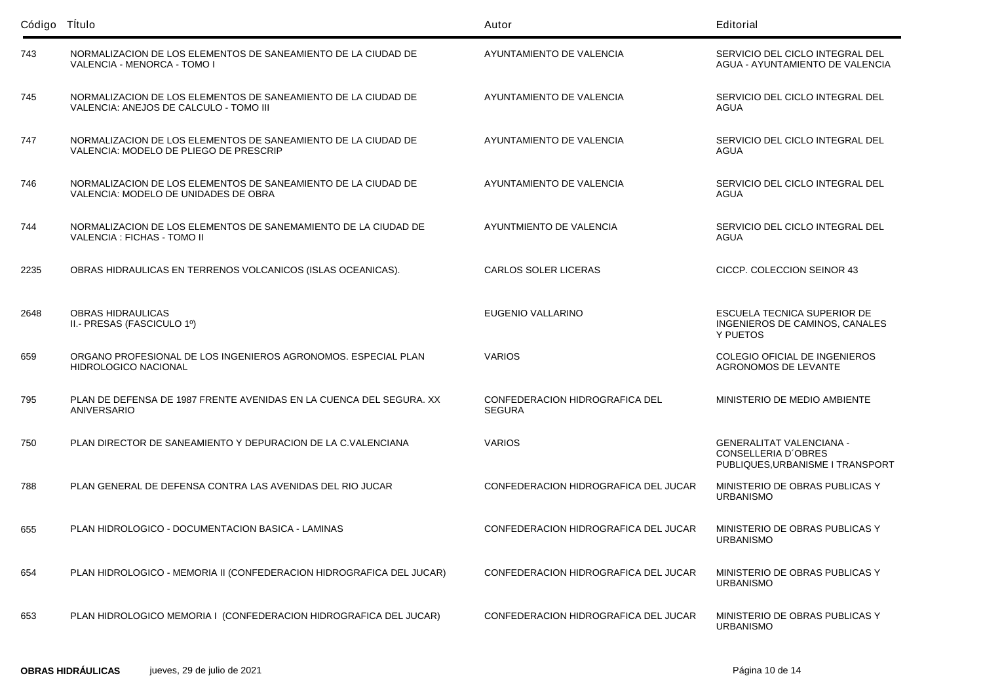| Código Título |                                                                                                         | Autor                                           | Editorial                                                                                         |
|---------------|---------------------------------------------------------------------------------------------------------|-------------------------------------------------|---------------------------------------------------------------------------------------------------|
| 743           | NORMALIZACION DE LOS ELEMENTOS DE SANEAMIENTO DE LA CIUDAD DE<br>VALENCIA - MENORCA - TOMO I            | AYUNTAMIENTO DE VALENCIA                        | SERVICIO DEL CICLO INTEGRAL DEL<br>AGUA - AYUNTAMIENTO DE VALENCIA                                |
| 745           | NORMALIZACION DE LOS ELEMENTOS DE SANEAMIENTO DE LA CIUDAD DE<br>VALENCIA: ANEJOS DE CALCULO - TOMO III | AYUNTAMIENTO DE VALENCIA                        | SERVICIO DEL CICLO INTEGRAL DEL<br>AGUA                                                           |
| 747           | NORMALIZACION DE LOS ELEMENTOS DE SANEAMIENTO DE LA CIUDAD DE<br>VALENCIA: MODELO DE PLIEGO DE PRESCRIP | AYUNTAMIENTO DE VALENCIA                        | SERVICIO DEL CICLO INTEGRAL DEL<br>AGUA                                                           |
| 746           | NORMALIZACION DE LOS ELEMENTOS DE SANEAMIENTO DE LA CIUDAD DE<br>VALENCIA: MODELO DE UNIDADES DE OBRA   | AYUNTAMIENTO DE VALENCIA                        | SERVICIO DEL CICLO INTEGRAL DEL<br>AGUA                                                           |
| 744           | NORMALIZACION DE LOS ELEMENTOS DE SANEMAMIENTO DE LA CIUDAD DE<br>VALENCIA : FICHAS - TOMO II           | AYUNTMIENTO DE VALENCIA                         | SERVICIO DEL CICLO INTEGRAL DEL<br>AGUA                                                           |
| 2235          | OBRAS HIDRAULICAS EN TERRENOS VOLCANICOS (ISLAS OCEANICAS).                                             | <b>CARLOS SOLER LICERAS</b>                     | CICCP. COLECCION SEINOR 43                                                                        |
| 2648          | <b>OBRAS HIDRAULICAS</b><br>II.- PRESAS (FASCICULO 1º)                                                  | EUGENIO VALLARINO                               | ESCUELA TECNICA SUPERIOR DE<br>INGENIEROS DE CAMINOS, CANALES<br>Y PUETOS                         |
| 659           | ORGANO PROFESIONAL DE LOS INGENIEROS AGRONOMOS. ESPECIAL PLAN<br><b>HIDROLOGICO NACIONAL</b>            | <b>VARIOS</b>                                   | COLEGIO OFICIAL DE INGENIEROS<br><b>AGRONOMOS DE LEVANTE</b>                                      |
| 795           | PLAN DE DEFENSA DE 1987 FRENTE AVENIDAS EN LA CUENCA DEL SEGURA. XX<br>ANIVERSARIO                      | CONFEDERACION HIDROGRAFICA DEL<br><b>SEGURA</b> | MINISTERIO DE MEDIO AMBIENTE                                                                      |
| 750           | PLAN DIRECTOR DE SANEAMIENTO Y DEPURACION DE LA C.VALENCIANA                                            | <b>VARIOS</b>                                   | <b>GENERALITAT VALENCIANA -</b><br><b>CONSELLERIA D'OBRES</b><br>PUBLIQUES, URBANISME I TRANSPORT |
| 788           | PLAN GENERAL DE DEFENSA CONTRA LAS AVENIDAS DEL RIO JUCAR                                               | CONFEDERACION HIDROGRAFICA DEL JUCAR            | MINISTERIO DE OBRAS PUBLICAS Y<br><b>URBANISMO</b>                                                |
| 655           | PLAN HIDROLOGICO - DOCUMENTACION BASICA - LAMINAS                                                       | CONFEDERACION HIDROGRAFICA DEL JUCAR            | MINISTERIO DE OBRAS PUBLICAS Y<br><b>URBANISMO</b>                                                |
| 654           | PLAN HIDROLOGICO - MEMORIA II (CONFEDERACION HIDROGRAFICA DEL JUCAR)                                    | CONFEDERACION HIDROGRAFICA DEL JUCAR            | MINISTERIO DE OBRAS PUBLICAS Y<br><b>URBANISMO</b>                                                |
| 653           | PLAN HIDROLOGICO MEMORIA I (CONFEDERACION HIDROGRAFICA DEL JUCAR)                                       | CONFEDERACION HIDROGRAFICA DEL JUCAR            | MINISTERIO DE OBRAS PUBLICAS Y<br><b>URBANISMO</b>                                                |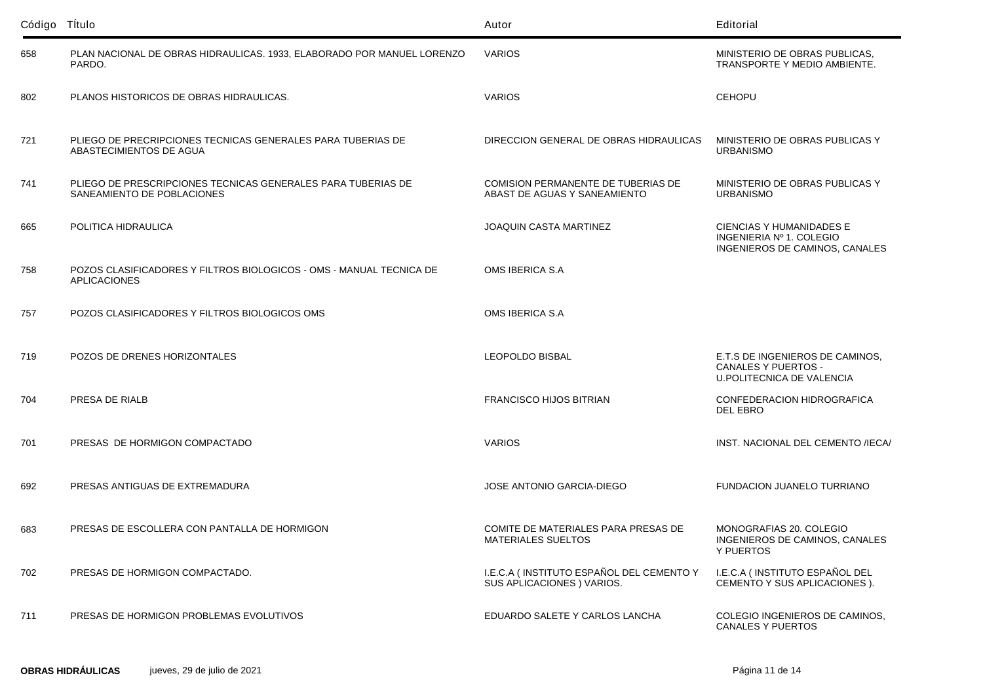| Código Título |                                                                                            | Autor                                                                     | Editorial                                                                                  |
|---------------|--------------------------------------------------------------------------------------------|---------------------------------------------------------------------------|--------------------------------------------------------------------------------------------|
| 658           | PLAN NACIONAL DE OBRAS HIDRAULICAS. 1933, ELABORADO POR MANUEL LORENZO<br>PARDO.           | <b>VARIOS</b>                                                             | MINISTERIO DE OBRAS PUBLICAS.<br>TRANSPORTE Y MEDIO AMBIENTE.                              |
| 802           | PLANOS HISTORICOS DE OBRAS HIDRAULICAS.                                                    | <b>VARIOS</b>                                                             | <b>CEHOPU</b>                                                                              |
| 721           | PLIEGO DE PRECRIPCIONES TECNICAS GENERALES PARA TUBERIAS DE<br>ABASTECIMIENTOS DE AGUA     | DIRECCION GENERAL DE OBRAS HIDRAULICAS                                    | MINISTERIO DE OBRAS PUBLICAS Y<br><b>URBANISMO</b>                                         |
| 741           | PLIEGO DE PRESCRIPCIONES TECNICAS GENERALES PARA TUBERIAS DE<br>SANEAMIENTO DE POBLACIONES | <b>COMISION PERMANENTE DE TUBERIAS DE</b><br>ABAST DE AGUAS Y SANEAMIENTO | MINISTERIO DE OBRAS PUBLICAS Y<br><b>URBANISMO</b>                                         |
| 665           | POLITICA HIDRAULICA                                                                        | <b>JOAQUIN CASTA MARTINEZ</b>                                             | CIENCIAS Y HUMANIDADES E<br>INGENIERIA Nº 1. COLEGIO<br>INGENIEROS DE CAMINOS, CANALES     |
| 758           | POZOS CLASIFICADORES Y FILTROS BIOLOGICOS - OMS - MANUAL TECNICA DE<br><b>APLICACIONES</b> | OMS IBERICA S.A                                                           |                                                                                            |
| 757           | POZOS CLASIFICADORES Y FILTROS BIOLOGICOS OMS                                              | OMS IBERICA S.A                                                           |                                                                                            |
| 719           | POZOS DE DRENES HORIZONTALES                                                               | LEOPOLDO BISBAL                                                           | E.T.S DE INGENIEROS DE CAMINOS,<br>CANALES Y PUERTOS -<br><b>U.POLITECNICA DE VALENCIA</b> |
| 704           | PRESA DE RIALB                                                                             | <b>FRANCISCO HIJOS BITRIAN</b>                                            | CONFEDERACION HIDROGRAFICA<br><b>DEL EBRO</b>                                              |
| 701           | PRESAS DE HORMIGON COMPACTADO                                                              | <b>VARIOS</b>                                                             | INST. NACIONAL DEL CEMENTO /IECA/                                                          |
| 692           | PRESAS ANTIGUAS DE EXTREMADURA                                                             | <b>JOSE ANTONIO GARCIA-DIEGO</b>                                          | FUNDACION JUANELO TURRIANO                                                                 |
| 683           | PRESAS DE ESCOLLERA CON PANTALLA DE HORMIGON                                               | COMITE DE MATERIALES PARA PRESAS DE<br>MATERIALES SUELTOS                 | MONOGRAFIAS 20. COLEGIO<br>INGENIEROS DE CAMINOS, CANALES<br>Y PUERTOS                     |
| 702           | PRESAS DE HORMIGON COMPACTADO.                                                             | I.E.C.A (INSTITUTO ESPAÑOL DEL CEMENTO Y<br>SUS APLICACIONES ) VARIOS.    | I.E.C.A (INSTITUTO ESPAÑOL DEL<br>CEMENTO Y SUS APLICACIONES ).                            |
| 711           | PRESAS DE HORMIGON PROBLEMAS EVOLUTIVOS                                                    | EDUARDO SALETE Y CARLOS LANCHA                                            | COLEGIO INGENIEROS DE CAMINOS,<br><b>CANALES Y PUERTOS</b>                                 |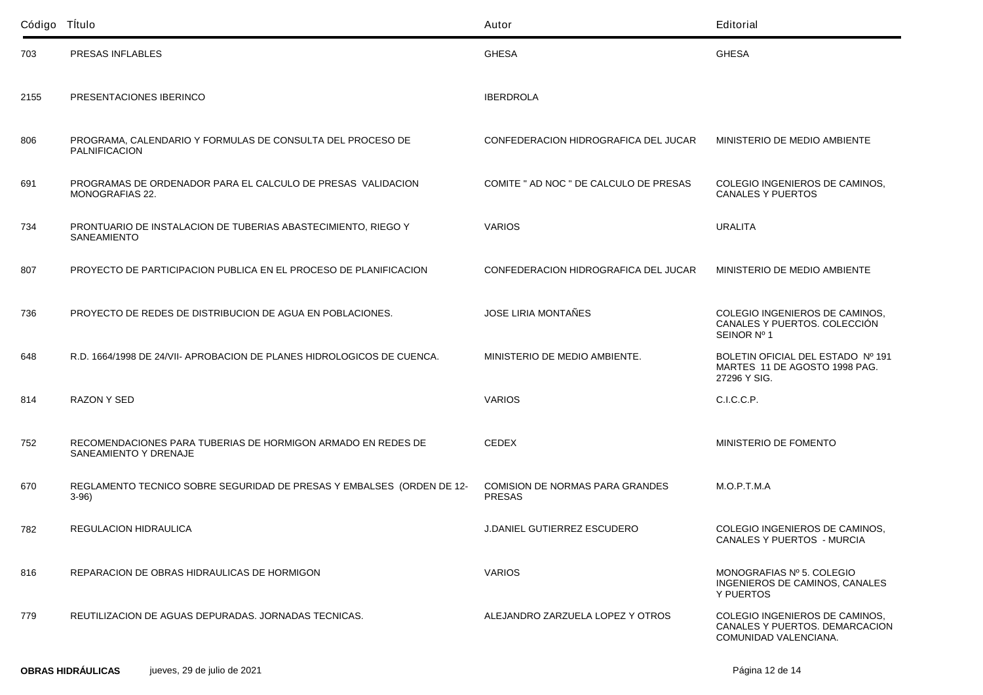| Código Título |                                                                                       | Autor                                            | Editorial                                                                                 |
|---------------|---------------------------------------------------------------------------------------|--------------------------------------------------|-------------------------------------------------------------------------------------------|
| 703           | PRESAS INFLABLES                                                                      | <b>GHESA</b>                                     | <b>GHESA</b>                                                                              |
| 2155          | PRESENTACIONES IBERINCO                                                               | <b>IBERDROLA</b>                                 |                                                                                           |
| 806           | PROGRAMA, CALENDARIO Y FORMULAS DE CONSULTA DEL PROCESO DE<br><b>PALNIFICACION</b>    | CONFEDERACION HIDROGRAFICA DEL JUCAR             | MINISTERIO DE MEDIO AMBIENTE                                                              |
| 691           | PROGRAMAS DE ORDENADOR PARA EL CALCULO DE PRESAS VALIDACION<br>MONOGRAFIAS 22.        | COMITE " AD NOC " DE CALCULO DE PRESAS           | COLEGIO INGENIEROS DE CAMINOS,<br><b>CANALES Y PUERTOS</b>                                |
| 734           | PRONTUARIO DE INSTALACION DE TUBERIAS ABASTECIMIENTO, RIEGO Y<br><b>SANEAMIENTO</b>   | <b>VARIOS</b>                                    | <b>URALITA</b>                                                                            |
| 807           | PROYECTO DE PARTICIPACION PUBLICA EN EL PROCESO DE PLANIFICACION                      | CONFEDERACION HIDROGRAFICA DEL JUCAR             | MINISTERIO DE MEDIO AMBIENTE                                                              |
| 736           | PROYECTO DE REDES DE DISTRIBUCION DE AGUA EN POBLACIONES.                             | JOSE LIRIA MONTAÑES                              | COLEGIO INGENIEROS DE CAMINOS,<br>CANALES Y PUERTOS. COLECCIÓN<br>SEINOR Nº 1             |
| 648           | R.D. 1664/1998 DE 24/VII- APROBACION DE PLANES HIDROLOGICOS DE CUENCA.                | MINISTERIO DE MEDIO AMBIENTE.                    | BOLETIN OFICIAL DEL ESTADO Nº 191<br>MARTES 11 DE AGOSTO 1998 PAG.<br>27296 Y SIG.        |
| 814           | RAZON Y SED                                                                           | <b>VARIOS</b>                                    | C.I.C.C.P.                                                                                |
| 752           | RECOMENDACIONES PARA TUBERIAS DE HORMIGON ARMADO EN REDES DE<br>SANEAMIENTO Y DRENAJE | <b>CEDEX</b>                                     | MINISTERIO DE FOMENTO                                                                     |
| 670           | REGLAMENTO TECNICO SOBRE SEGURIDAD DE PRESAS Y EMBALSES (ORDEN DE 12-<br>$3-96$       | COMISION DE NORMAS PARA GRANDES<br><b>PRESAS</b> | M.O.P.T.M.A                                                                               |
| 782           | REGULACION HIDRAULICA                                                                 | <b>J.DANIEL GUTIERREZ ESCUDERO</b>               | COLEGIO INGENIEROS DE CAMINOS,<br>CANALES Y PUERTOS - MURCIA                              |
| 816           | REPARACION DE OBRAS HIDRAULICAS DE HORMIGON                                           | <b>VARIOS</b>                                    | MONOGRAFIAS Nº 5. COLEGIO<br>INGENIEROS DE CAMINOS, CANALES<br>Y PUERTOS                  |
| 779           | REUTILIZACION DE AGUAS DEPURADAS. JORNADAS TECNICAS.                                  | ALEJANDRO ZARZUELA LOPEZ Y OTROS                 | COLEGIO INGENIEROS DE CAMINOS.<br>CANALES Y PUERTOS. DEMARCACION<br>COMUNIDAD VALENCIANA. |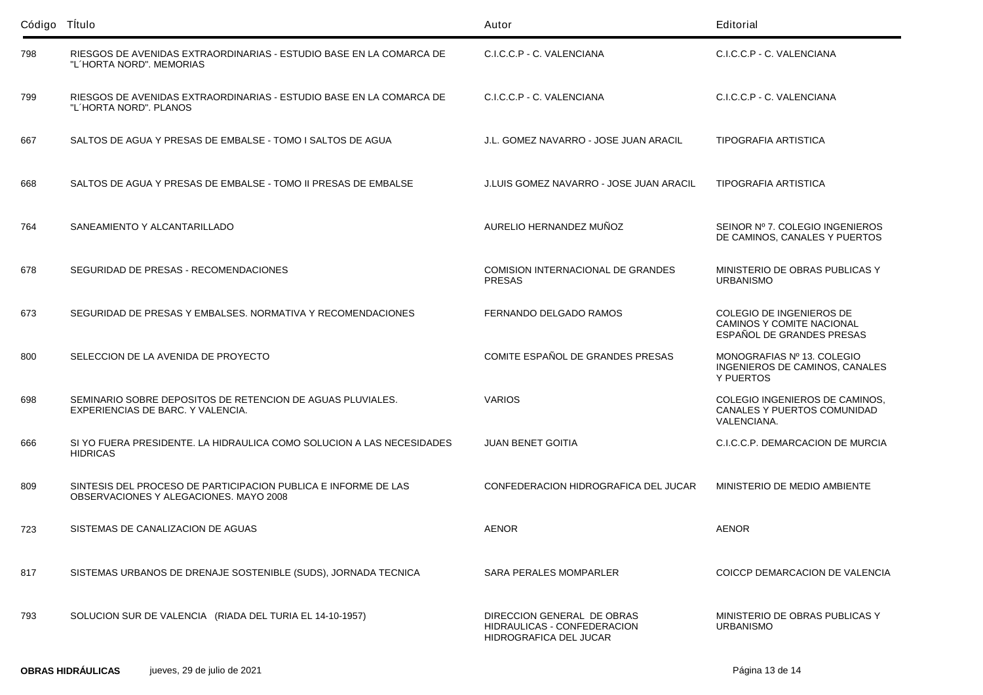| Código Título |                                                                                                          | Autor                                                                               | Editorial                                                                          |
|---------------|----------------------------------------------------------------------------------------------------------|-------------------------------------------------------------------------------------|------------------------------------------------------------------------------------|
| 798           | RIESGOS DE AVENIDAS EXTRAORDINARIAS - ESTUDIO BASE EN LA COMARCA DE<br>"L'HORTA NORD", MEMORIAS          | C.I.C.C.P - C. VALENCIANA                                                           | C.I.C.C.P - C. VALENCIANA                                                          |
| 799           | RIESGOS DE AVENIDAS EXTRAORDINARIAS - ESTUDIO BASE EN LA COMARCA DE<br>"L'HORTA NORD". PLANOS            | C.I.C.C.P - C. VALENCIANA                                                           | C.I.C.C.P - C. VALENCIANA                                                          |
| 667           | SALTOS DE AGUA Y PRESAS DE EMBALSE - TOMO I SALTOS DE AGUA                                               | J.L. GOMEZ NAVARRO - JOSE JUAN ARACIL                                               | <b>TIPOGRAFIA ARTISTICA</b>                                                        |
| 668           | SALTOS DE AGUA Y PRESAS DE EMBALSE - TOMO II PRESAS DE EMBALSE                                           | J.LUIS GOMEZ NAVARRO - JOSE JUAN ARACIL                                             | <b>TIPOGRAFIA ARTISTICA</b>                                                        |
| 764           | SANEAMIENTO Y ALCANTARILLADO                                                                             | AURELIO HERNANDEZ MUÑOZ                                                             | SEINOR Nº 7. COLEGIO INGENIEROS<br>DE CAMINOS, CANALES Y PUERTOS                   |
| 678           | SEGURIDAD DE PRESAS - RECOMENDACIONES                                                                    | <b>COMISION INTERNACIONAL DE GRANDES</b><br><b>PRESAS</b>                           | MINISTERIO DE OBRAS PUBLICAS Y<br><b>URBANISMO</b>                                 |
| 673           | SEGURIDAD DE PRESAS Y EMBALSES. NORMATIVA Y RECOMENDACIONES                                              | FERNANDO DELGADO RAMOS                                                              | COLEGIO DE INGENIEROS DE<br>CAMINOS Y COMITE NACIONAL<br>ESPAÑOL DE GRANDES PRESAS |
| 800           | SELECCION DE LA AVENIDA DE PROYECTO                                                                      | COMITE ESPAÑOL DE GRANDES PRESAS                                                    | MONOGRAFIAS Nº 13. COLEGIO<br>INGENIEROS DE CAMINOS, CANALES<br>Y PUERTOS          |
| 698           | SEMINARIO SOBRE DEPOSITOS DE RETENCION DE AGUAS PLUVIALES.<br>EXPERIENCIAS DE BARC. Y VALENCIA.          | <b>VARIOS</b>                                                                       | COLEGIO INGENIEROS DE CAMINOS,<br>CANALES Y PUERTOS COMUNIDAD<br>VALENCIANA.       |
| 666           | SI YO FUERA PRESIDENTE. LA HIDRAULICA COMO SOLUCION A LAS NECESIDADES<br><b>HIDRICAS</b>                 | <b>JUAN BENET GOITIA</b>                                                            | C.I.C.C.P. DEMARCACION DE MURCIA                                                   |
| 809           | SINTESIS DEL PROCESO DE PARTICIPACION PUBLICA E INFORME DE LAS<br>OBSERVACIONES Y ALEGACIONES, MAYO 2008 | CONFEDERACION HIDROGRAFICA DEL JUCAR                                                | MINISTERIO DE MEDIO AMBIENTE                                                       |
| 723           | SISTEMAS DE CANALIZACION DE AGUAS                                                                        | AENOR                                                                               | <b>AENOR</b>                                                                       |
| 817           | SISTEMAS URBANOS DE DRENAJE SOSTENIBLE (SUDS), JORNADA TECNICA                                           | <b>SARA PERALES MOMPARLER</b>                                                       | COICCP DEMARCACION DE VALENCIA                                                     |
| 793           | SOLUCION SUR DE VALENCIA (RIADA DEL TURIA EL 14-10-1957)                                                 | DIRECCION GENERAL DE OBRAS<br>HIDRAULICAS - CONFEDERACION<br>HIDROGRAFICA DEL JUCAR | MINISTERIO DE OBRAS PUBLICAS Y<br><b>URBANISMO</b>                                 |